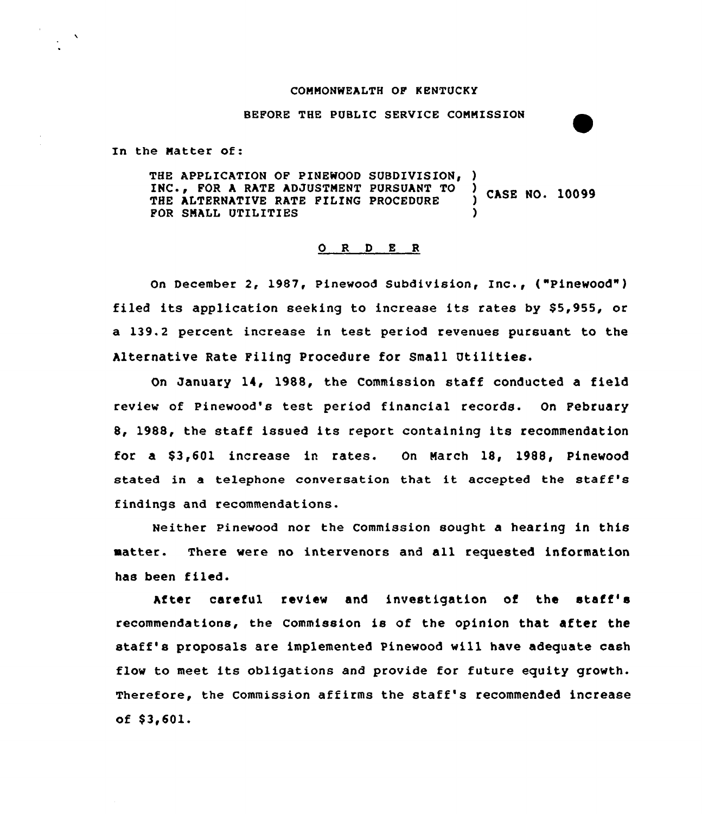#### CONNONWEALTH OF KENTUCKY

BEFORE THE PUBLIC SERVICE CONMISSION

In the Natter of:

THE APPLICATION OF PINEWOOD SUBDIVISION, )<br>INC., FOR A RATE ADJUSTMENT PURSUANT TO ) INC., FOR A RATE ADJUSTMENT PURSUANT TO ) CASE NO. 10099<br>THE ALTERNATIVE RATE FILING PROCEDURE ) CASE NO. 10099 FOR SMALL UTILITIES

#### 0 R <sup>D</sup> E <sup>R</sup>

on December 2, 1987, Pinewood subdivision, Inc., ("Pinewood" ) filed its application seeking to increase its rates by \$5,955, or a 139.2 percent increase in test period revenues pursuant to the Alternative Rate Filing Procedure for Small Utilities.

On January 14, 1988, the Commission staff conducted a field review of Pinewood's test period financial records. On February 8, 19SS, the staff issued its report containing its recommendation for a \$ 3,601 increase in rates. On Narch 1S, 1988, Pinewood stated in <sup>a</sup> telephone conversation that it accepted the staff's findings and recommendations.

Neither pinewood nor the commission sought a hearing in this matter. There were no intervenors and all requested information has been filed.

After careful review and investigation of the staff' recommendations, the commission is of the opinion that after the staff's proposals are implemented Pinewood will have adequate cash flow to meet its obligations and provide for future equity growth. Therefore, the commission affirms the staff's recommended increase of  $$3,601.$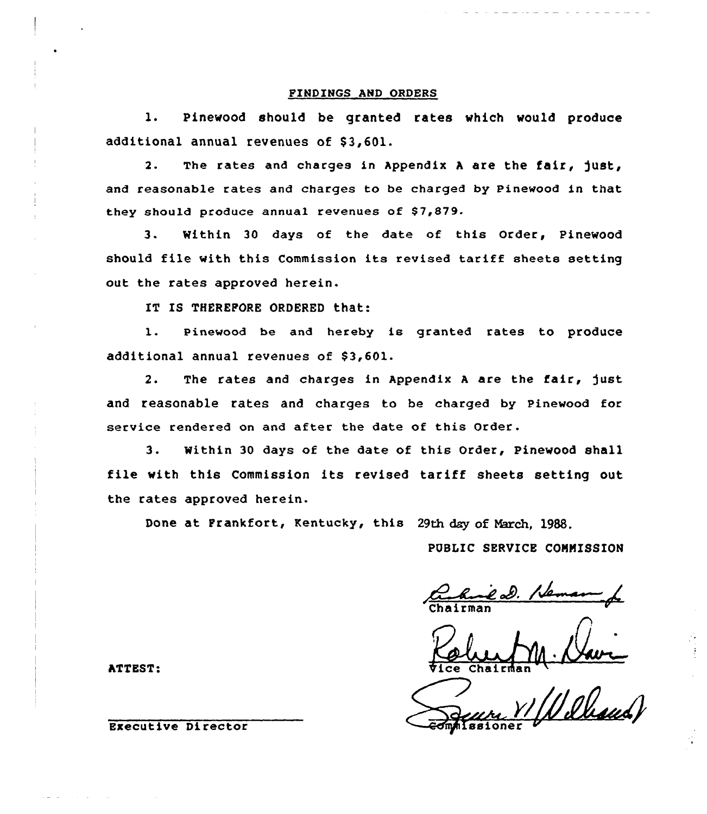## FINDINGS AND ORDERS

l. Pinewood should be granted rates which would produce additional annual revenues of \$3,601.

2. The rates and charges in Appendix <sup>A</sup> are the fair, )ust, and reasonable rates and charges to be charged by Pinewood in that they should produce annual revenues of \$7,879.

3. Within 30 days of the date of this Order, Pinewood should file with this Commission its revised tariff sheets setting out the rates approved herein.

IT IS THEREFORE ORDERED that:

1. Pinewood be and hereby is granted rates to produce additional annual revenues of \$3,601.

2. The rates and charges in Appendix A are the fair, just and reasonable rates and charges to be charged by Pinewood for service rendered on and after the date of this Order.

3. Within <sup>30</sup> days of the date of this Order, Pinewood shall file with this Commission its revised tariff sheets setting out the rates approved herein.

Done at Frankfort, Kentucky, this 29th day of March. 1988.

PUBLIC SERVICE CONNISSION

Chairma

Column N. Navre

ATTEST:

Executive Director